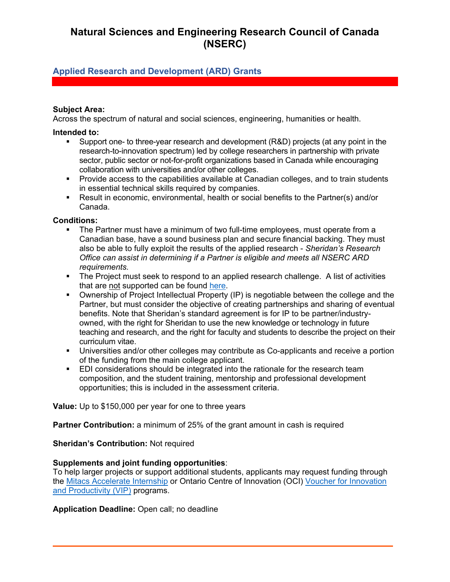## **Natural Sciences and Engineering Research Council of Canada (NSERC)**

### **Applied Research and Development (ARD) Grants**

#### **Subject Area:**

Across the spectrum of natural and social sciences, engineering, humanities or health.

#### **Intended to:**

- Support one- to three-year research and development (R&D) projects (at any point in the research-to-innovation spectrum) led by college researchers in partnership with private sector, public sector or not-for-profit organizations based in Canada while encouraging collaboration with universities and/or other colleges.
- Provide access to the capabilities available at Canadian colleges, and to train students in essential technical skills required by companies.
- Result in economic, environmental, health or social benefits to the Partner(s) and/or Canada.

# **Conditions:**

- The Partner must have a minimum of two full-time employees, must operate from a Canadian base, have a sound business plan and secure financial backing. They must also be able to fully exploit the results of the applied research - *Sheridan's Research Office can assist in determining if a Partner is eligible and meets all NSERC ARD requirements.*
- The Project must seek to respond to an applied research challenge. A list of activities that are not supported can be found [here.](https://www.nserc-crsng.gc.ca/Professors-Professeurs/RPP-PP/ARD-RDA/Activities-Activites_eng.asp)
- Ownership of Project Intellectual Property (IP) is negotiable between the college and the Partner, but must consider the objective of creating partnerships and sharing of eventual benefits. Note that Sheridan's standard agreement is for IP to be partner/industryowned, with the right for Sheridan to use the new knowledge or technology in future teaching and research, and the right for faculty and students to describe the project on their curriculum vitae.
- Universities and/or other colleges may contribute as Co-applicants and receive a portion of the funding from the main college applicant.
- **EDI considerations should be integrated into the rationale for the research team** composition, and the student training, mentorship and professional development opportunities; this is included in the assessment criteria.

**Value:** Up to \$150,000 per year for one to three years

**Partner Contribution:** a minimum of 25% of the grant amount in cash is required

#### **Sheridan's Contribution:** Not required

#### **Supplements and joint funding opportunities**:

To help larger projects or support additional students, applicants may request funding through the [Mitacs Accelerate Internship](https://www.mitacs.ca/en/programs/accelerate) or Ontario Centre of Innovation (OCI) Voucher for Innovation [and Productivity \(VIP\)](https://www.oc-innovation.ca/programs/voucher-for-innovation-and-productivity-vip/) programs.

**Application Deadline:** Open call; no deadline